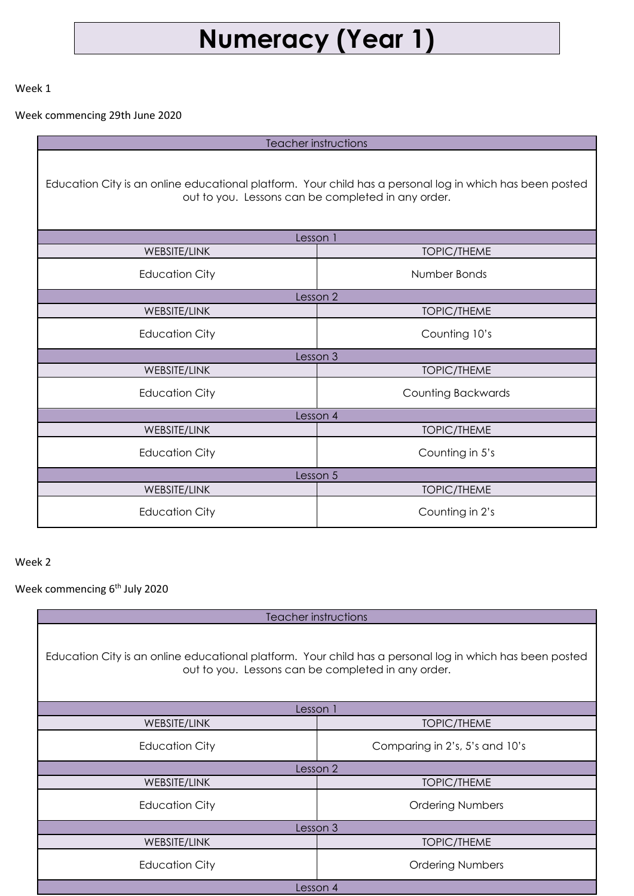## **Numeracy (Year 1)**

Week 1

Week commencing 29th June 2020

Teacher instructions

Education City is an online educational platform. Your child has a personal log in which has been posted out to you. Lessons can be completed in any order.

| Lesson 1              |                           |  |
|-----------------------|---------------------------|--|
| WEBSITE/LINK          | <b>TOPIC/THEME</b>        |  |
| <b>Education City</b> | Number Bonds              |  |
| Lesson 2              |                           |  |
| <b>WEBSITE/LINK</b>   | <b>TOPIC/THEME</b>        |  |
| <b>Education City</b> | Counting 10's             |  |
| Lesson 3              |                           |  |
| WEBSITE/LINK          | <b>TOPIC/THEME</b>        |  |
| <b>Education City</b> | <b>Counting Backwards</b> |  |
| Lesson 4              |                           |  |
| WEBSITE/LINK          | <b>TOPIC/THEME</b>        |  |
| <b>Education City</b> | Counting in 5's           |  |
| Lesson 5              |                           |  |
| WEBSITE/LINK          | <b>TOPIC/THEME</b>        |  |
| <b>Education City</b> | Counting in 2's           |  |

Week 2

Week commencing 6<sup>th</sup> July 2020

Teacher instructions

Education City is an online educational platform. Your child has a personal log in which has been posted out to you. Lessons can be completed in any order.

| Lesson 1              |                                |  |
|-----------------------|--------------------------------|--|
| WEBSITE/LINK          | <b>TOPIC/THEME</b>             |  |
| <b>Education City</b> | Comparing in 2's, 5's and 10's |  |
| Lesson 2              |                                |  |
| WEBSITE/LINK          | <b>TOPIC/THEME</b>             |  |
| <b>Education City</b> | <b>Ordering Numbers</b>        |  |
| Lesson 3              |                                |  |
| <b>WEBSITE/LINK</b>   | <b>TOPIC/THEME</b>             |  |
| <b>Education City</b> | <b>Ordering Numbers</b>        |  |
| Lesson 4              |                                |  |